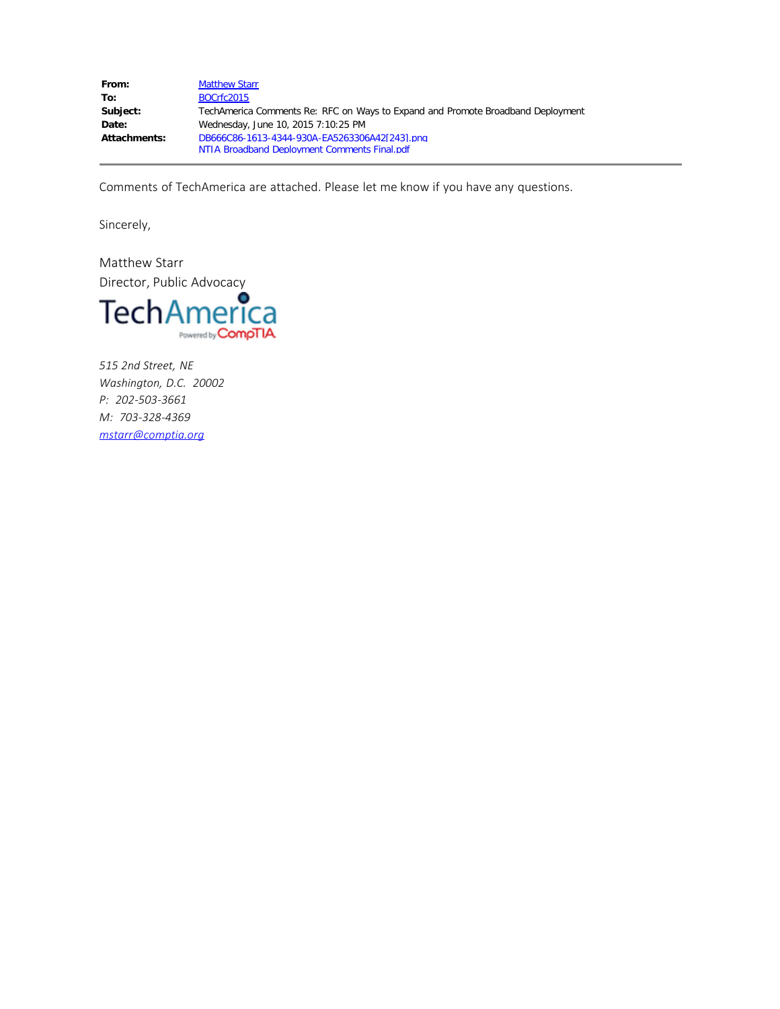| From:        | <b>Matthew Starr</b>                                                            |
|--------------|---------------------------------------------------------------------------------|
| To:          | BOCrfc2015                                                                      |
| Subject:     | TechAmerica Comments Re: RFC on Ways to Expand and Promote Broadband Deployment |
| Date:        | Wednesday, June 10, 2015 7:10:25 PM                                             |
| Attachments: | DB666C86-1613-4344-930A-EA5263306A42[243].png                                   |
|              | NTIA Broadband Deployment Comments Final.pdf                                    |

Comments of TechAmerica are attached. Please let me know if you have any questions.

Sincerely,

Matthew Starr Director, Public Advocacy



*515 2nd Street, NE Washington, D.C. 20002 P: 202-503-3661 M: 703-328-4369 [mstarr@comptia.org](applewebdata://2ec7ffb2-8e85-417f-a189-e62d38034559/ehyman@comptia.org)*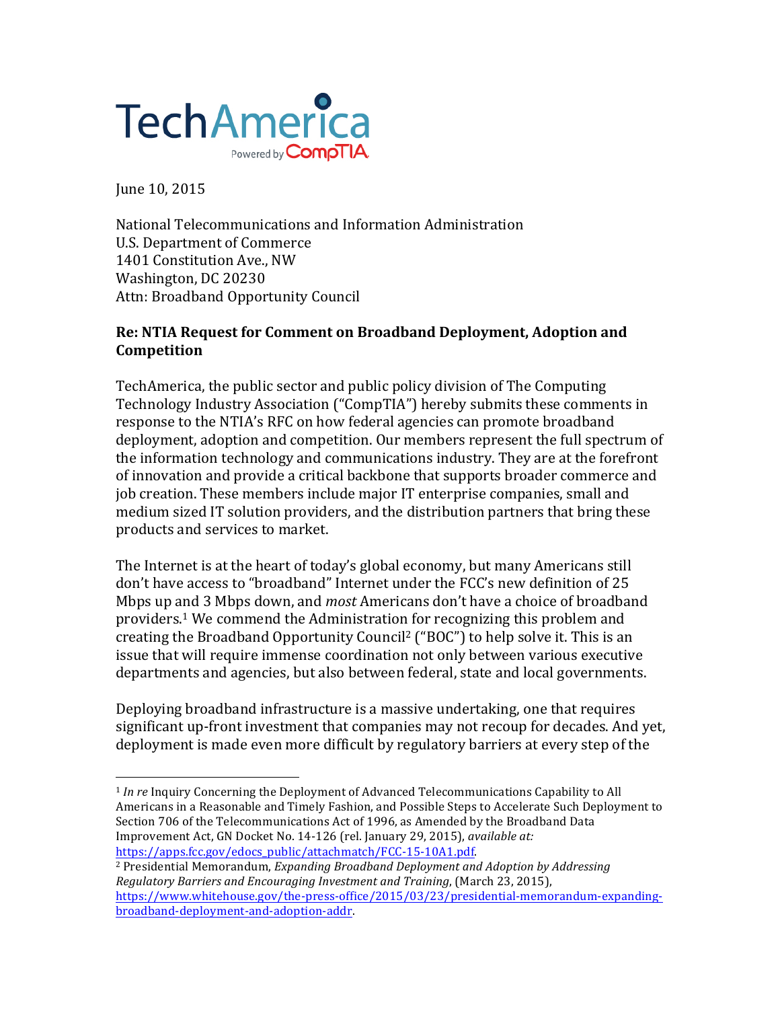

 

June 10, 2015

National Telecommunications and Information Administration U.S. Department of Commerce 1401 Constitution Ave., NW Washington, DC 20230 Attn: Broadband Opportunity Council

## **Re: NTIA Request for Comment on Broadband Deployment, Adoption and Competition**

TechAmerica, the public sector and public policy division of The Computing Technology Industry Association ("CompTIA") hereby submits these comments in response to the NTIA's RFC on how federal agencies can promote broadband deployment, adoption and competition. Our members represent the full spectrum of the information technology and communications industry. They are at the forefront of innovation and provide a critical backbone that supports broader commerce and job creation. These members include major IT enterprise companies, small and medium sized IT solution providers, and the distribution partners that bring these products and services to market.

The Internet is at the heart of today's global economy, but many Americans still don't have access to "broadband" Internet under the FCC's new definition of 25 Mbps up and 3 Mbps down, and *most* Americans don't have a choice of broadband providers.<sup>1</sup> We commend the Administration for recognizing this problem and creating the Broadband Opportunity Council<sup>2</sup> ("BOC") to help solve it. This is an issue that will require immense coordination not only between various executive departments and agencies, but also between federal, state and local governments.

Deploying broadband infrastructure is a massive undertaking, one that requires significant up-front investment that companies may not recoup for decades. And yet, deployment is made even more difficult by regulatory barriers at every step of the

<sup>&</sup>lt;sup>1</sup> *In re* Inquiry Concerning the Deployment of Advanced Telecommunications Capability to All Americans in a Reasonable and Timely Fashion, and Possible Steps to Accelerate Such Deployment to Section 706 of the Telecommunications Act of 1996, as Amended by the Broadband Data Improvement Act, GN Docket No. 14-126 (rel. January 29, 2015), *available at:* https://apps.fcc.gov/edocs\_public/attachmatch/FCC-15-10A1.pdf. 

<sup>&</sup>lt;sup>2</sup> Presidential Memorandum, *Expanding Broadband Deployment and Adoption by Addressing Regulatory Barriers and Encouraging Investment and Training, (March 23, 2015),* https://www.whitehouse.gov/the-press-office/2015/03/23/presidential-memorandum-expandingbroadband-deployment-and-adoption-addr.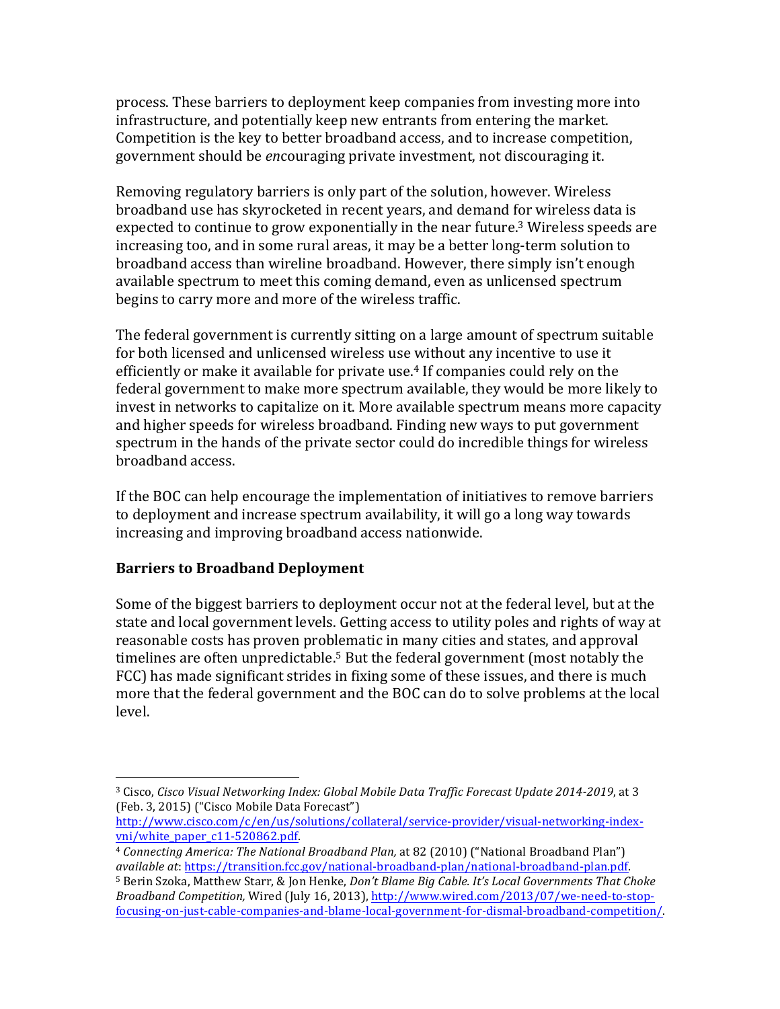process. These barriers to deployment keep companies from investing more into infrastructure, and potentially keep new entrants from entering the market. Competition is the key to better broadband access, and to increase competition, government should be *encouraging* private investment, not discouraging it.

Removing regulatory barriers is only part of the solution, however. Wireless broadband use has skyrocketed in recent years, and demand for wireless data is expected to continue to grow exponentially in the near future.<sup>3</sup> Wireless speeds are increasing too, and in some rural areas, it may be a better long-term solution to broadband access than wireline broadband. However, there simply isn't enough available spectrum to meet this coming demand, even as unlicensed spectrum begins to carry more and more of the wireless traffic.

The federal government is currently sitting on a large amount of spectrum suitable for both licensed and unlicensed wireless use without any incentive to use it efficiently or make it available for private use.<sup>4</sup> If companies could rely on the federal government to make more spectrum available, they would be more likely to invest in networks to capitalize on it. More available spectrum means more capacity and higher speeds for wireless broadband. Finding new ways to put government spectrum in the hands of the private sector could do incredible things for wireless broadband access. 

If the BOC can help encourage the implementation of initiatives to remove barriers to deployment and increase spectrum availability, it will go a long way towards increasing and improving broadband access nationwide.

## **Barriers to Broadband Deployment**

 

Some of the biggest barriers to deployment occur not at the federal level, but at the state and local government levels. Getting access to utility poles and rights of way at reasonable costs has proven problematic in many cities and states, and approval timelines are often unpredictable.<sup>5</sup> But the federal government (most notably the FCC) has made significant strides in fixing some of these issues, and there is much more that the federal government and the BOC can do to solve problems at the local level.

<sup>&</sup>lt;sup>3</sup> Cisco, *Cisco Visual Networking Index: Global Mobile Data Traffic Forecast Update 2014-2019*, at 3 (Feb. 3, 2015) ("Cisco Mobile Data Forecast")

http://www.cisco.com/c/en/us/solutions/collateral/service-provider/visual-networking-indexvni/white\_paper\_c11-520862.pdf. 

<sup>&</sup>lt;sup>4</sup> Connecting America: The National Broadband Plan, at 82 (2010) ("National Broadband Plan") *available at*: https://transition.fcc.gov/national-broadband-plan/national-broadband-plan.pdf. 

<sup>&</sup>lt;sup>5</sup> Berin Szoka, Matthew Starr, & Jon Henke, *Don't Blame Big Cable. It's Local Governments That Choke Broadband Competition,* Wired (July 16, 2013), http://www.wired.com/2013/07/we-need-to-stopfocusing-on-just-cable-companies-and-blame-local-government-for-dismal-broadband-competition/.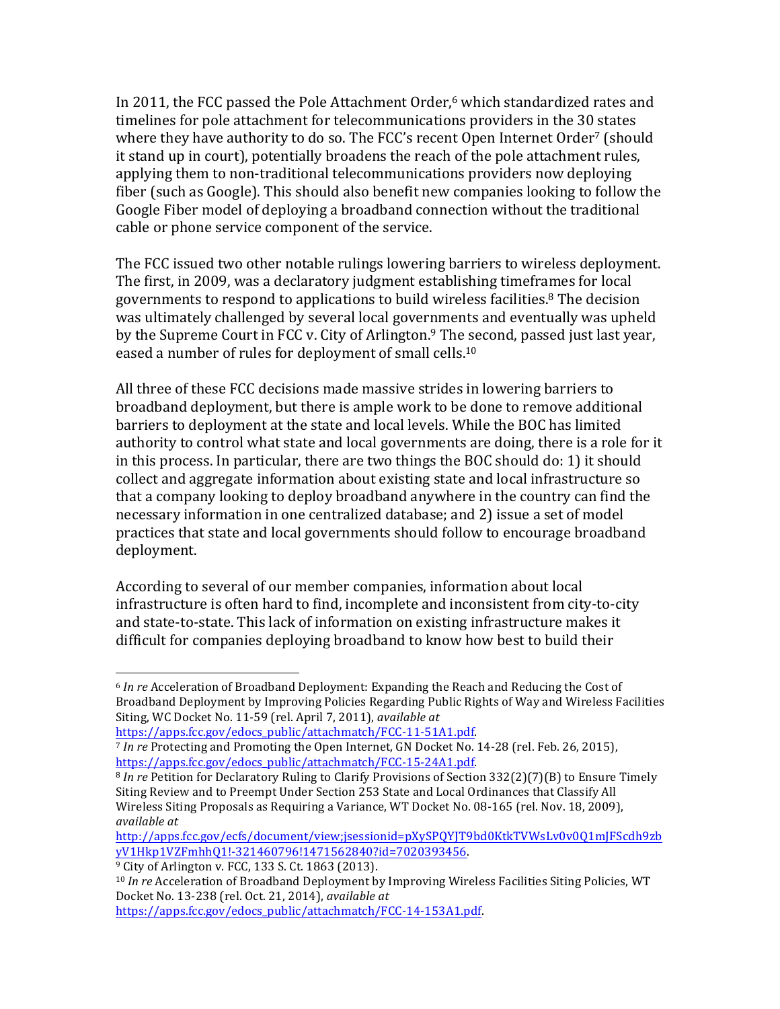In 2011, the FCC passed the Pole Attachment Order,<sup>6</sup> which standardized rates and timelines for pole attachment for telecommunications providers in the 30 states where they have authority to do so. The FCC's recent Open Internet Order<sup>7</sup> (should it stand up in court), potentially broadens the reach of the pole attachment rules, applying them to non-traditional telecommunications providers now deploying fiber (such as Google). This should also benefit new companies looking to follow the Google Fiber model of deploying a broadband connection without the traditional cable or phone service component of the service.

The FCC issued two other notable rulings lowering barriers to wireless deployment. The first, in 2009, was a declaratory judgment establishing timeframes for local governments to respond to applications to build wireless facilities.<sup>8</sup> The decision was ultimately challenged by several local governments and eventually was upheld by the Supreme Court in FCC v. City of Arlington.<sup>9</sup> The second, passed just last year, eased a number of rules for deployment of small cells.<sup>10</sup>

All three of these FCC decisions made massive strides in lowering barriers to broadband deployment, but there is ample work to be done to remove additional barriers to deployment at the state and local levels. While the BOC has limited authority to control what state and local governments are doing, there is a role for it in this process. In particular, there are two things the BOC should do: 1) it should collect and aggregate information about existing state and local infrastructure so that a company looking to deploy broadband anywhere in the country can find the necessary information in one centralized database; and 2) issue a set of model practices that state and local governments should follow to encourage broadband deployment.

According to several of our member companies, information about local infrastructure is often hard to find, incomplete and inconsistent from city-to-city and state-to-state. This lack of information on existing infrastructure makes it difficult for companies deploying broadband to know how best to build their

 

https://apps.fcc.gov/edocs\_public/attachmatch/FCC-14-153A1.pdf.

<sup>&</sup>lt;sup>6</sup> In re Acceleration of Broadband Deployment: Expanding the Reach and Reducing the Cost of Broadband Deployment by Improving Policies Regarding Public Rights of Way and Wireless Facilities Siting, WC Docket No. 11-59 (rel. April 7, 2011), *available at* 

https://apps.fcc.gov/edocs\_public/attachmatch/FCC-11-51A1.pdf. 

<sup>&</sup>lt;sup>7</sup> In re Protecting and Promoting the Open Internet, GN Docket No. 14-28 (rel. Feb. 26, 2015), https://apps.fcc.gov/edocs\_public/attachmatch/FCC-15-24A1.pdf. 

<sup>&</sup>lt;sup>8</sup> *In re* Petition for Declaratory Ruling to Clarify Provisions of Section 332(2)(7)(B) to Ensure Timely Siting Review and to Preempt Under Section 253 State and Local Ordinances that Classify All Wireless Siting Proposals as Requiring a Variance, WT Docket No. 08-165 (rel. Nov. 18, 2009), *available at* 

http://apps.fcc.gov/ecfs/document/view;jsessionid=pXySPQYJT9bd0KtkTVWsLv0v0Q1mJFScdh9zb yV1Hkp1VZFmhhQ1!-321460796!1471562840?id=7020393456. 

 $9$  City of Arlington v. FCC, 133 S. Ct. 1863 (2013).

<sup>&</sup>lt;sup>10</sup> *In re* Acceleration of Broadband Deployment by Improving Wireless Facilities Siting Policies, WT Docket No. 13-238 (rel. Oct. 21, 2014), *available at*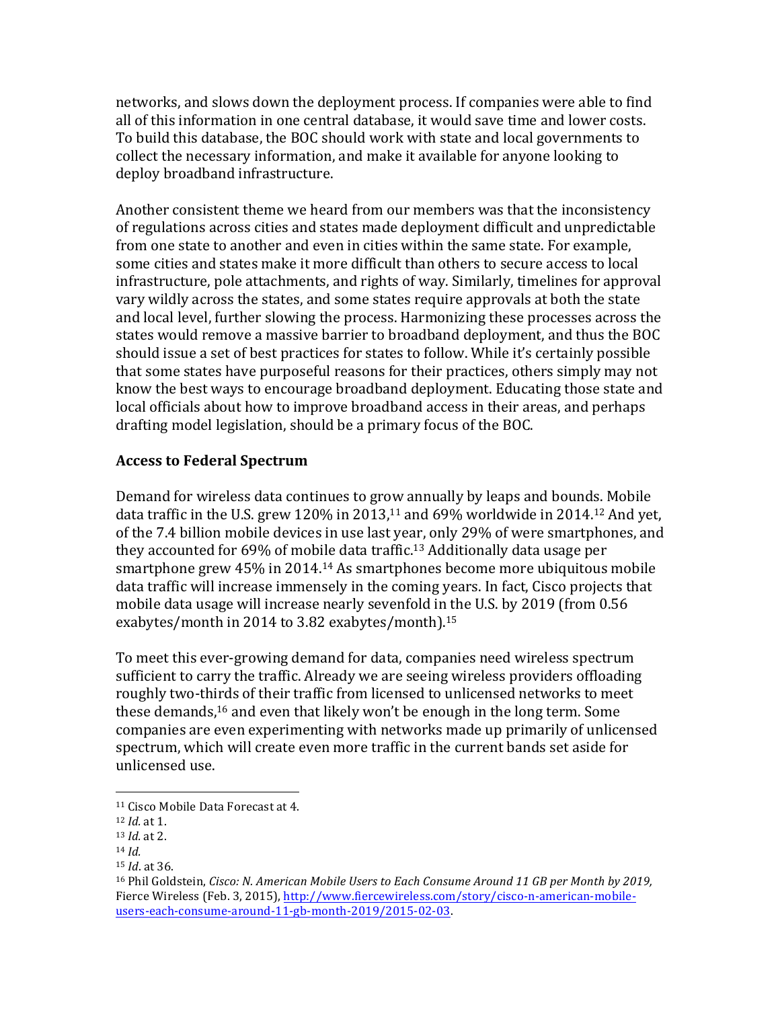networks, and slows down the deployment process. If companies were able to find all of this information in one central database, it would save time and lower costs. To build this database, the BOC should work with state and local governments to collect the necessary information, and make it available for anyone looking to deploy broadband infrastructure.

Another consistent theme we heard from our members was that the inconsistency of regulations across cities and states made deployment difficult and unpredictable from one state to another and even in cities within the same state. For example, some cities and states make it more difficult than others to secure access to local infrastructure, pole attachments, and rights of way. Similarly, timelines for approval vary wildly across the states, and some states require approvals at both the state and local level, further slowing the process. Harmonizing these processes across the states would remove a massive barrier to broadband deployment, and thus the BOC should issue a set of best practices for states to follow. While it's certainly possible that some states have purposeful reasons for their practices, others simply may not know the best ways to encourage broadband deployment. Educating those state and local officials about how to improve broadband access in their areas, and perhaps drafting model legislation, should be a primary focus of the BOC.

## **Access to Federal Spectrum**

Demand for wireless data continues to grow annually by leaps and bounds. Mobile data traffic in the U.S. grew 120% in 2013,<sup>11</sup> and 69% worldwide in 2014.<sup>12</sup> And yet, of the 7.4 billion mobile devices in use last year, only 29% of were smartphones, and they accounted for  $69\%$  of mobile data traffic.<sup>13</sup> Additionally data usage per smartphone grew  $45\%$  in 2014.<sup>14</sup> As smartphones become more ubiquitous mobile data traffic will increase immensely in the coming years. In fact, Cisco projects that mobile data usage will increase nearly sevenfold in the U.S. by 2019 (from 0.56 exabytes/month in 2014 to 3.82 exabytes/month).<sup>15</sup>

To meet this ever-growing demand for data, companies need wireless spectrum sufficient to carry the traffic. Already we are seeing wireless providers offloading roughly two-thirds of their traffic from licensed to unlicensed networks to meet these demands,<sup>16</sup> and even that likely won't be enough in the long term. Some companies are even experimenting with networks made up primarily of unlicensed spectrum, which will create even more traffic in the current bands set aside for unlicensed use.

 <sup>11</sup> Cisco Mobile Data Forecast at 4.

<sup>12</sup> *Id.* at 1. 

<sup>13</sup> *Id.* at 2.

<sup>14</sup> *Id.*

<sup>15</sup> *Id*. at 36.

<sup>&</sup>lt;sup>16</sup> Phil Goldstein, *Cisco: N. American Mobile Users to Each Consume Around 11 GB per Month by 2019,* Fierce Wireless (Feb. 3, 2015), http://www.fiercewireless.com/story/cisco-n-american-mobileusers-each-consume-around-11-gb-month-2019/2015-02-03.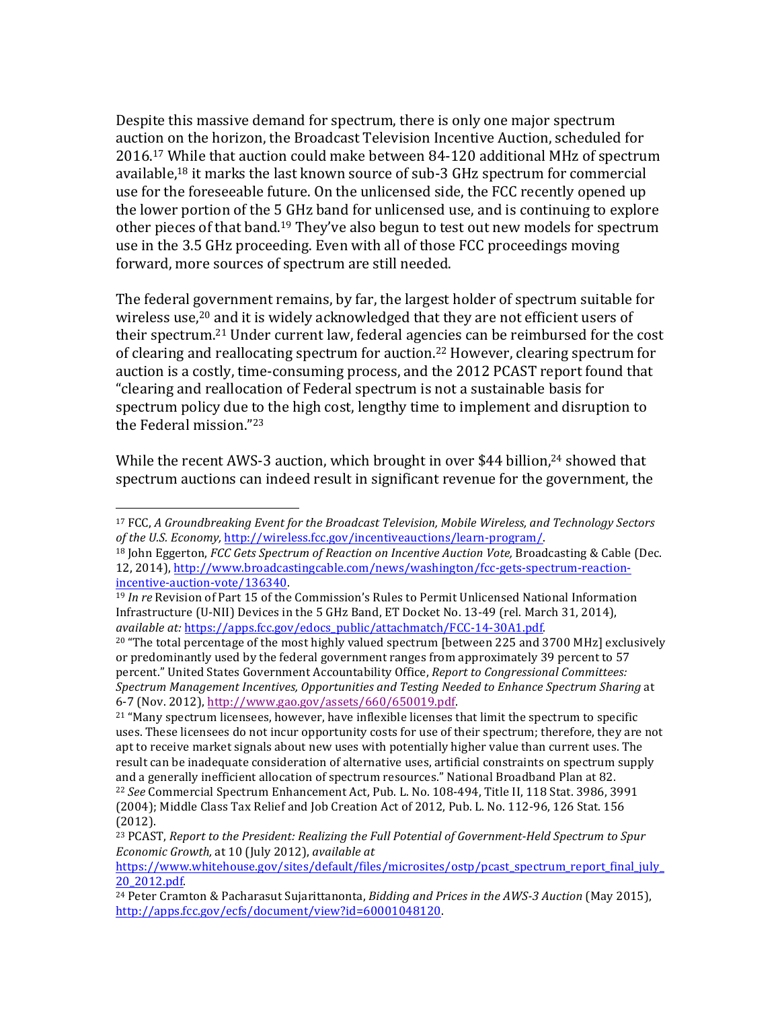Despite this massive demand for spectrum, there is only one major spectrum auction on the horizon, the Broadcast Television Incentive Auction, scheduled for 2016.<sup>17</sup> While that auction could make between 84-120 additional MHz of spectrum available,<sup>18</sup> it marks the last known source of sub-3 GHz spectrum for commercial use for the foreseeable future. On the unlicensed side, the FCC recently opened up the lower portion of the 5 GHz band for unlicensed use, and is continuing to explore other pieces of that band.<sup>19</sup> They've also begun to test out new models for spectrum use in the 3.5 GHz proceeding. Even with all of those FCC proceedings moving forward, more sources of spectrum are still needed.

The federal government remains, by far, the largest holder of spectrum suitable for wireless use,<sup>20</sup> and it is widely acknowledged that they are not efficient users of their spectrum.<sup>21</sup> Under current law, federal agencies can be reimbursed for the cost of clearing and reallocating spectrum for auction.<sup>22</sup> However, clearing spectrum for auction is a costly, time-consuming process, and the 2012 PCAST report found that "clearing and reallocation of Federal spectrum is not a sustainable basis for spectrum policy due to the high cost, lengthy time to implement and disruption to the Federal mission."<sup>23</sup>

While the recent AWS-3 auction, which brought in over \$44 billion,<sup>24</sup> showed that spectrum auctions can indeed result in significant revenue for the government, the

 

<sup>&</sup>lt;sup>17</sup> FCC, *A* Groundbreaking Event for the Broadcast Television, Mobile Wireless, and Technology Sectors *of the U.S. Economy, http://wireless.fcc.gov/incentiveauctions/learn-program/.* 

<sup>&</sup>lt;sup>18</sup> John Eggerton, *FCC Gets Spectrum of Reaction on Incentive Auction Vote*, Broadcasting & Cable (Dec. 12, 2014), http://www.broadcastingcable.com/news/washington/fcc-gets-spectrum-reactionincentive-auction-vote/136340. 

<sup>&</sup>lt;sup>19</sup> *In re* Revision of Part 15 of the Commission's Rules to Permit Unlicensed National Information Infrastructure (U-NII) Devices in the 5 GHz Band, ET Docket No. 13-49 (rel. March 31, 2014), *available at:* https://apps.fcc.gov/edocs\_public/attachmatch/FCC-14-30A1.pdf. 

 $20$  "The total percentage of the most highly valued spectrum [between 225 and 3700 MHz] exclusively or predominantly used by the federal government ranges from approximately 39 percent to 57 percent." United States Government Accountability Office, *Report to Congressional Committees:* Spectrum Management Incentives, Opportunities and Testing Needed to Enhance Spectrum Sharing at 6-7 (Nov. 2012), http://www.gao.gov/assets/660/650019.pdf. 

 $21$  "Many spectrum licensees, however, have inflexible licenses that limit the spectrum to specific uses. These licensees do not incur opportunity costs for use of their spectrum; therefore, they are not apt to receive market signals about new uses with potentially higher value than current uses. The result can be inadequate consideration of alternative uses, artificial constraints on spectrum supply and a generally inefficient allocation of spectrum resources." National Broadband Plan at 82. <sup>22</sup> See Commercial Spectrum Enhancement Act, Pub. L. No. 108-494, Title II, 118 Stat. 3986, 3991 (2004); Middle Class Tax Relief and Job Creation Act of 2012, Pub. L. No. 112-96, 126 Stat. 156

<sup>(2012).</sup>

<sup>&</sup>lt;sup>23</sup> PCAST, *Report to the President: Realizing the Full Potential of Government-Held Spectrum to Spur Economic Growth,* at 10 (July 2012), *available at* 

https://www.whitehouse.gov/sites/default/files/microsites/ostp/pcast\_spectrum\_report\_final\_july\_ 20\_2012.pdf. 

<sup>&</sup>lt;sup>24</sup> Peter Cramton & Pacharasut Sujarittanonta, *Bidding and Prices in the AWS-3 Auction* (May 2015), http://apps.fcc.gov/ecfs/document/view?id=60001048120.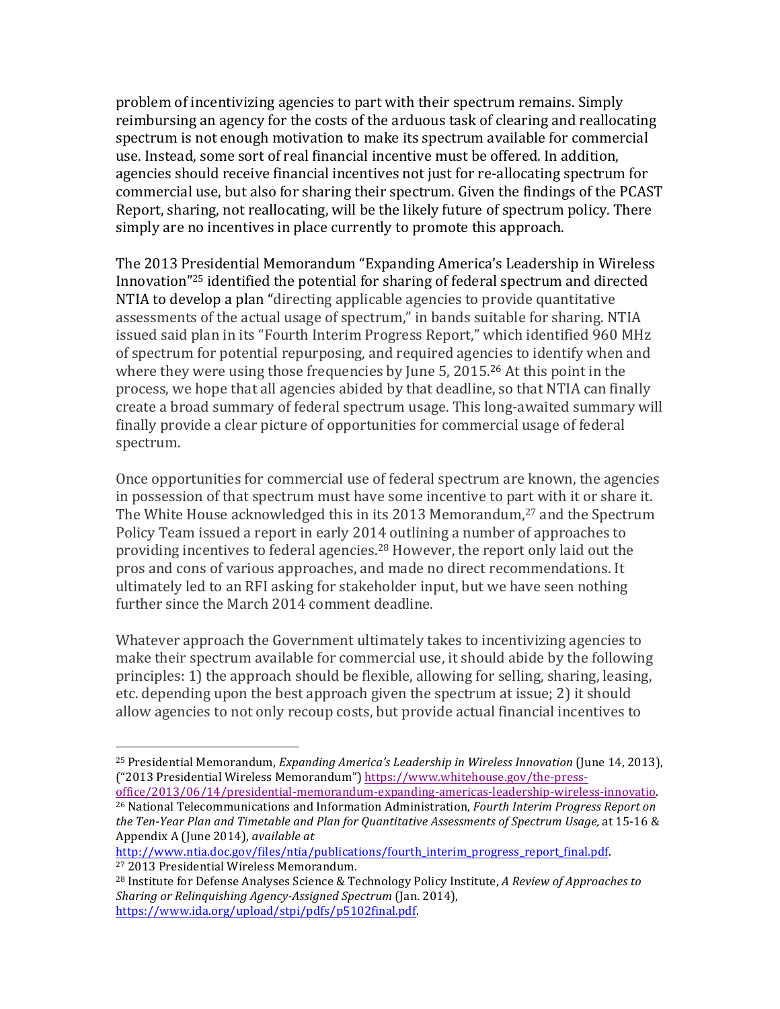problem of incentivizing agencies to part with their spectrum remains. Simply reimbursing an agency for the costs of the arduous task of clearing and reallocating spectrum is not enough motivation to make its spectrum available for commercial use. Instead, some sort of real financial incentive must be offered. In addition, agencies should receive financial incentives not just for re-allocating spectrum for commercial use, but also for sharing their spectrum. Given the findings of the PCAST Report, sharing, not reallocating, will be the likely future of spectrum policy. There simply are no incentives in place currently to promote this approach.

The 2013 Presidential Memorandum "Expanding America's Leadership in Wireless Innovation<sup>"25</sup> identified the potential for sharing of federal spectrum and directed NTIA to develop a plan "directing applicable agencies to provide quantitative assessments of the actual usage of spectrum," in bands suitable for sharing. NTIA issued said plan in its "Fourth Interim Progress Report," which identified 960 MHz of spectrum for potential repurposing, and required agencies to identify when and where they were using those frequencies by June  $5$ , 2015.<sup>26</sup> At this point in the process, we hope that all agencies abided by that deadline, so that NTIA can finally create a broad summary of federal spectrum usage. This long-awaited summary will finally provide a clear picture of opportunities for commercial usage of federal spectrum.

Once opportunities for commercial use of federal spectrum are known, the agencies in possession of that spectrum must have some incentive to part with it or share it. The White House acknowledged this in its 2013 Memorandum, $27$  and the Spectrum Policy Team issued a report in early 2014 outlining a number of approaches to providing incentives to federal agencies.<sup>28</sup> However, the report only laid out the pros and cons of various approaches, and made no direct recommendations. It ultimately led to an RFI asking for stakeholder input, but we have seen nothing further since the March 2014 comment deadline.

Whatever approach the Government ultimately takes to incentivizing agencies to make their spectrum available for commercial use, it should abide by the following principles: 1) the approach should be flexible, allowing for selling, sharing, leasing, etc. depending upon the best approach given the spectrum at issue; 2) it should allow agencies to not only recoup costs, but provide actual financial incentives to

 

<sup>&</sup>lt;sup>25</sup> Presidential Memorandum, *Expanding America's Leadership in Wireless Innovation* (June 14, 2013), ("2013 Presidential Wireless Memorandum") https://www.whitehouse.gov/the-pressoffice/2013/06/14/presidential-memorandum-expanding-americas-leadership-wireless-innovatio. 

<sup>&</sup>lt;sup>26</sup> National Telecommunications and Information Administration, *Fourth Interim Progress Report on* the Ten-Year Plan and Timetable and Plan for *Quantitative Assessments of Spectrum Usage*, at 15-16 & Appendix A (June 2014), *available at* 

http://www.ntia.doc.gov/files/ntia/publications/fourth\_interim\_progress\_report\_final.pdf. <sup>27</sup> 2013 Presidential Wireless Memorandum.

<sup>&</sup>lt;sup>28</sup> Institute for Defense Analyses Science & Technology Policy Institute, *A Review of Approaches to Sharing or Relinquishing Agency-Assigned Spectrum* (Jan. 2014), https://www.ida.org/upload/stpi/pdfs/p5102final.pdf.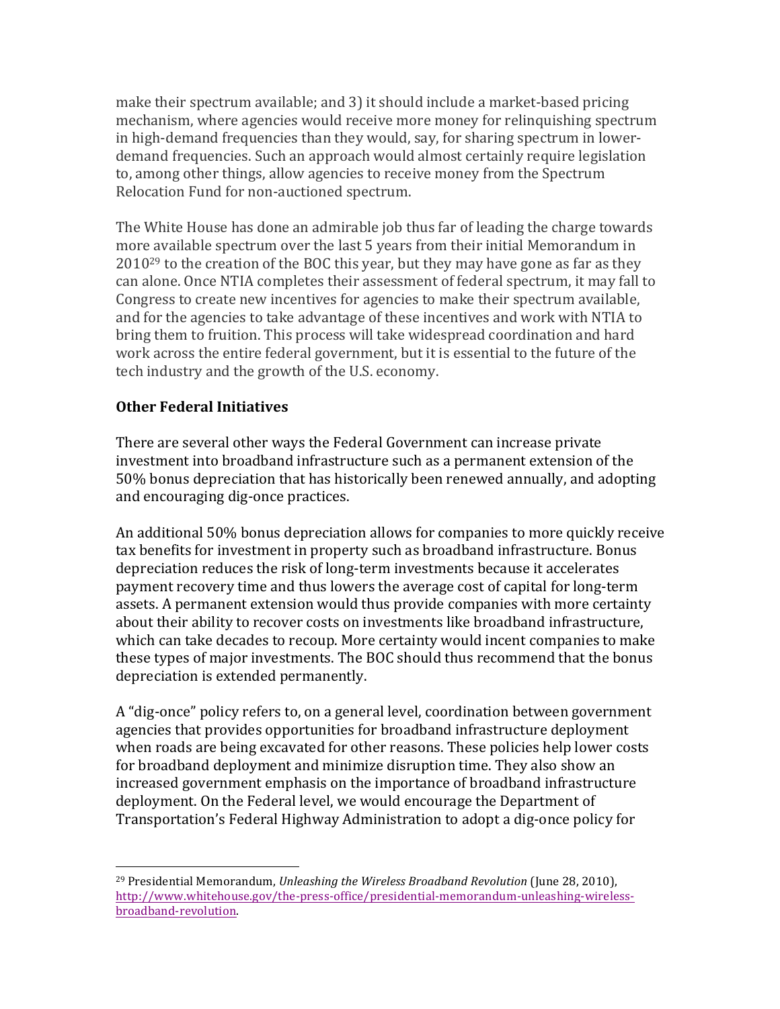make their spectrum available; and 3) it should include a market-based pricing mechanism, where agencies would receive more money for relinquishing spectrum in high-demand frequencies than they would, say, for sharing spectrum in lowerdemand frequencies. Such an approach would almost certainly require legislation to, among other things, allow agencies to receive money from the Spectrum Relocation Fund for non-auctioned spectrum.

The White House has done an admirable job thus far of leading the charge towards more available spectrum over the last 5 years from their initial Memorandum in  $2010^{29}$  to the creation of the BOC this year, but they may have gone as far as they can alone. Once NTIA completes their assessment of federal spectrum, it may fall to Congress to create new incentives for agencies to make their spectrum available, and for the agencies to take advantage of these incentives and work with NTIA to bring them to fruition. This process will take widespread coordination and hard work across the entire federal government, but it is essential to the future of the tech industry and the growth of the U.S. economy.

# **Other Federal Initiatives**

 

There are several other ways the Federal Government can increase private investment into broadband infrastructure such as a permanent extension of the 50% bonus depreciation that has historically been renewed annually, and adopting and encouraging dig-once practices.

An additional 50% bonus depreciation allows for companies to more quickly receive tax benefits for investment in property such as broadband infrastructure. Bonus depreciation reduces the risk of long-term investments because it accelerates payment recovery time and thus lowers the average cost of capital for long-term assets. A permanent extension would thus provide companies with more certainty about their ability to recover costs on investments like broadband infrastructure, which can take decades to recoup. More certainty would incent companies to make these types of major investments. The BOC should thus recommend that the bonus depreciation is extended permanently.

A "dig-once" policy refers to, on a general level, coordination between government agencies that provides opportunities for broadband infrastructure deployment when roads are being excavated for other reasons. These policies help lower costs for broadband deployment and minimize disruption time. They also show an increased government emphasis on the importance of broadband infrastructure deployment. On the Federal level, we would encourage the Department of Transportation's Federal Highway Administration to adopt a dig-once policy for

<sup>&</sup>lt;sup>29</sup> Presidential Memorandum, *Unleashing the Wireless Broadband Revolution* (June 28, 2010), http://www.whitehouse.gov/the-press-office/presidential-memorandum-unleashing-wirelessbroadband-revolution.